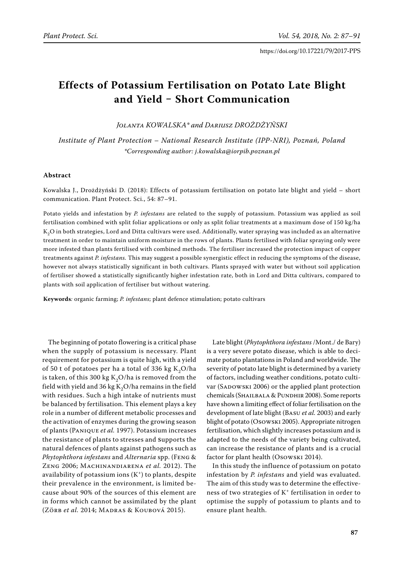# **Effects of Potassium Fertilisation on Potato Late Blight and Yield ‒ Short Communication**

*Jolanta Kowalska\* and Dariusz Drożdżyński*

*Institute of Plant Protection – National Research Institute (IPP-NRI), Poznań, Poland \*Corresponding author: j.kowalska@iorpib.poznan.pl*

### **Abstract**

Kowalska J., Drożdżyński D. (2018): Effects of potassium fertilisation on potato late blight and yield – short communication. Plant Protect. Sci., 54: 87–91.

Potato yields and infestation by *P. infestans* are related to the supply of potassium. Potassium was applied as soil fertilisation combined with split foliar applications or only as split foliar treatments at a maximum dose of 150 kg/ha  $K_2O$  in both strategies, Lord and Ditta cultivars were used. Additionally, water spraying was included as an alternative treatment in order to maintain uniform moisture in the rows of plants. Plants fertilised with foliar spraying only were more infested than plants fertilised with combined methods. The fertiliser increased the protection impact of copper treatments against *P. infestans.* This may suggest a possible synergistic effect in reducing the symptoms of the disease, however not always statistically significant in both cultivars. Plants sprayed with water but without soil application of fertiliser showed a statistically significantly higher infestation rate, both in Lord and Ditta cultivars, compared to plants with soil application of fertiliser but without watering.

**Keywords***:* organic farming; *P. infestans*; plant defence stimulation; potato cultivars

The beginning of potato flowering is a critical phase when the supply of potassium is necessary. Plant requirement for potassium is quite high, with a yield of 50 t of potatoes per ha a total of 336 kg  $K_2O/ha$ is taken, of this 300 kg  $K_2O/ha$  is removed from the field with yield and 36 kg  $K_2O/h$  remains in the field with residues. Such a high intake of nutrients must be balanced by fertilisation. This element plays a key role in a number of different metabolic processes and the activation of enzymes during the growing season of plants (Panique *et al.* 1997). Potassium increases the resistance of plants to stresses and supports the natural defences of plants against pathogens such as *Phytophthora infestans* and *Alternaria* spp. (Feng & Zeng 2006; Machinandiarena *et al.* 2012). The availability of potassium ions  $(K^+)$  to plants, despite their prevalence in the environment, is limited because about 90% of the sources of this element are in forms which cannot be assimilated by the plant (Zörb *et al.* 2014; Madras & Koubová 2015).

Late blight (*Phytophthora infestans* /Mont./ de Bary) is a very severe potato disease, which is able to decimate potato plantations in Poland and worldwide. The severity of potato late blight is determined by a variety of factors, including weather conditions, potato cultivar (SADOWSKI 2006) or the applied plant protection chemicals (SHAILBALA & PUNDHIR 2008). Some reports have shown a limiting effect of foliar fertilisation on the development of late blight (Basu *et al.* 2003) and early blight of potato (Osowski 2005). Appropriate nitrogen fertilisation, which slightly increases potassium and is adapted to the needs of the variety being cultivated, can increase the resistance of plants and is a crucial factor for plant health (Osowski 2014).

In this study the influence of potassium on potato infestation by *P. infestans* and yield was evaluated. The aim of this study was to determine the effectiveness of two strategies of K+ fertilisation in order to optimise the supply of potassium to plants and to ensure plant health.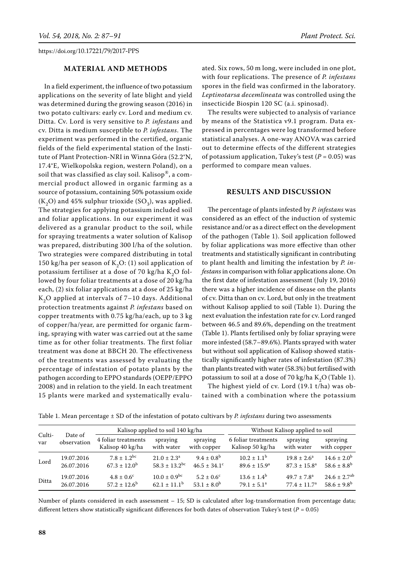## **MATERIAL AND METHODS**

In a field experiment, the influence of two potassium applications on the severity of late blight and yield was determined during the growing season (2016) in two potato cultivars: early cv. Lord and medium cv. Ditta. Cv. Lord is very sensitive to *P. infestans* and cv. Ditta is medium susceptible to *P. infestans*. The experiment was performed in the certified, organic fields of the field experimental station of the Institute of Plant Protection-NRI in Winna Góra (52.2°N, 17.4°E, Wielkopolska region, western Poland), on a soil that was classified as clay soil. Kalisop®, a commercial product allowed in organic farming as a source of potassium, containing 50% potassium oxide  $(K_2O)$  and 45% sulphur trioxide  $(SO_3)$ , was applied. The strategies for applying potassium included soil and foliar applications. In our experiment it was delivered as a granular product to the soil, while for spraying treatments a water solution of Kalisop was prepared, distributing 300 l/ha of the solution. Two strategies were compared distributing in total 150 kg/ha per season of  $K_2O$ : (1) soil application of potassium fertiliser at a dose of 70 kg/ha  $K_2O$  followed by four foliar treatments at a dose of 20 kg/ha each, (2) six foliar applications at a dose of 25 kg/ha  $K<sub>2</sub>O$  applied at intervals of 7–10 days. Additional protection treatments against *P. infestans* based on copper treatments with 0.75 kg/ha/each, up to 3 kg of copper/ha/year, are permitted for organic farming, spraying with water was carried out at the same time as for other foliar treatments. The first foliar treatment was done at BBCH 20. The effectiveness of the treatments was assessed by evaluating the percentage of infestation of potato plants by the pathogen according to EPPO standards (OEPP/EPPO 2008) and in relation to the yield. In each treatment 15 plants were marked and systematically evaluated. Six rows, 50 m long, were included in one plot, with four replications. The presence of *P. infestans* spores in the field was confirmed in the laboratory*. Leptinotarsa decemlineata* was controlled using the insecticide Biospin 120 SC (a.i. spinosad).

The results were subjected to analysis of variance by means of the Statistica v9.1 program. Data expressed in percentages were log transformed before statistical analyses. A one-way ANOVA was carried out to determine effects of the different strategies of potassium application, Tukey's test  $(P = 0.05)$  was performed to compare mean values.

#### **RESULTS AND DISCUSSION**

The percentage of plants infested by *P. infestans* was considered as an effect of the induction of systemic resistance and/or as a direct effect on the development of the pathogen (Table 1). Soil application followed by foliar applications was more effective than other treatments and statistically significant in contributing to plant health and limiting the infestation by *P. infestans* in comparison with foliar applications alone. On the first date of infestation assessment (July 19, 2016) there was a higher incidence of disease on the plants of cv. Ditta than on cv. Lord, but only in the treatment without Kalisop applied to soil (Table 1). During the next evaluation the infestation rate for cv. Lord ranged between 46.5 and 89.6%, depending on the treatment (Table 1). Plants fertilised only by foliar spraying were more infested (58.7–89.6%). Plants sprayed with water but without soil application of Kalisop showed statistically significantly higher rates of infestation (87.3%) than plants treated with water (58.3%) but fertilised with potassium to soil at a dose of 70 kg/ha  $K_2O$  (Table 1).

The highest yield of cv. Lord (19.1 t/ha) was obtained with a combination where the potassium

|  |  |  | Table 1. Mean percentage ± SD of the infestation of potato cultivars by P. <i>infestans</i> during two assessments |  |  |  |  |  |  |  |
|--|--|--|--------------------------------------------------------------------------------------------------------------------|--|--|--|--|--|--|--|
|--|--|--|--------------------------------------------------------------------------------------------------------------------|--|--|--|--|--|--|--|

| Culti-<br>var<br>Lord<br>Ditta | Date of     |                                         | Kalisop applied to soil 140 kg/ha |                              | Without Kalisop applied to soil         |                         |                              |  |
|--------------------------------|-------------|-----------------------------------------|-----------------------------------|------------------------------|-----------------------------------------|-------------------------|------------------------------|--|
|                                | observation | 4 foliar treatments<br>Kalisop 40 kg/ha | spraying<br>with water            | spraying<br>with copper      | 6 foliar treatments<br>Kalisop 50 kg/ha | spraying<br>with water  | spraying<br>with copper      |  |
|                                | 19.07.2016  | $7.8 + 1.2^{bc}$                        | $21.0 \pm 2.3^{\circ}$            | $9.4 \pm 0.8^{\rm b}$        | $10.2 \pm 1.1^{\rm b}$                  | $19.8 \pm 2.6^a$        | $14.6 \pm 2.0^{\rm b}$       |  |
|                                | 26.07.2016  | $67.3 \pm 12.0^{\rm b}$                 | $58.3 \pm 13.2$ <sup>bc</sup>     | $46.5 \pm 34.1$ <sup>c</sup> | $89.6 \pm 15.9^{\circ}$                 | $87.3 \pm 15.8^{\circ}$ | $58.6 \pm 8.8^{\rm b}$       |  |
|                                | 19.07.2016  | $4.8 \pm 0.6^{\circ}$                   | $10.0 \pm 0.9^{bc}$               | $5.2 \pm 0.6^{\circ}$        | $13.6 \pm 1.4^b$                        | $49.7 \pm 7.8^{\circ}$  | $24.6 \pm 2.7$ <sup>ab</sup> |  |
|                                | 26.07.2016  | $57.2 + 12.6^b$                         | $62.1 + 11.1^b$                   | $53.1 \pm 8.0^b$             | $79.1 \pm 5.1^a$                        | $77.4 \pm 11.7^a$       | $58.6 \pm 9.8^{\rm b}$       |  |

Number of plants considered in each assessment – 15; SD is calculated after log-transformation from percentage data; different letters show statistically significant differences for both dates of observation Tukey's test (*P* = 0.05)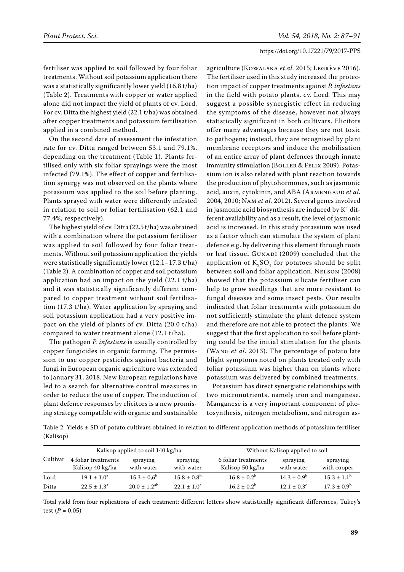fertiliser was applied to soil followed by four foliar treatments. Without soil potassium application there was a statistically significantly lower yield (16.8 t/ha) (Table 2). Treatments with copper or water applied alone did not impact the yield of plants of cv. Lord. For cv. Ditta the highest yield (22.1 t/ha) was obtained after copper treatments and potassium fertilisation applied in a combined method.

On the second date of assessment the infestation rate for cv. Ditta ranged between 53.1 and 79.1%, depending on the treatment (Table 1). Plants fertilised only with six foliar sprayings were the most infected (79.1%). The effect of copper and fertilisation synergy was not observed on the plants where potassium was applied to the soil before planting. Plants sprayed with water were differently infested in relation to soil or foliar fertilisation (62.1 and 77.4%, respectively).

The highest yield of cv. Ditta (22.5 t/ha) was obtained with a combination where the potassium fertiliser was applied to soil followed by four foliar treatments. Without soil potassium application the yields were statistically significantly lower (12.1–17.3 t/ha) (Table 2). A combination of copper and soil potassium application had an impact on the yield (22.1 t/ha) and it was statistically significantly different compared to copper treatment without soil fertilisation (17.3 t/ha). Water application by spraying and soil potassium application had a very positive impact on the yield of plants of cv. Ditta (20.0 t/ha) compared to water treatment alone (12.1 t/ha).

The pathogen *P. infestans* is usually controlled by copper fungicides in organic farming. The permission to use copper pesticides against bacteria and fungi in European organic agriculture was extended to January 31, 2018. New European regulations have led to a search for alternative control measures in order to reduce the use of copper. The induction of plant defence responses by elicitors is a new promising strategy compatible with organic and sustainable

agriculture (Kowalska *et al.* 2015; Legrève 2016). The fertiliser used in this study increased the protection impact of copper treatments against *P. infestans*  in the field with potato plants, cv. Lord*.* This may suggest a possible synergistic effect in reducing the symptoms of the disease, however not always statistically significant in both cultivars. Elicitors offer many advantages because they are not toxic to pathogens; instead, they are recognised by plant membrane receptors and induce the mobilisation of an entire array of plant defences through innate immunity stimulation (BOLLER & FELIX 2009). Potassium ion is also related with plant reaction towards the production of phytohormones, such as jasmonic acid, auxin, cytokinin, and ABA (ARMENGAUD et al. 2004, 2010; Nam *et al.* 2012). Several genes involved in jasmonic acid biosynthesis are induced by  $K^+$  different availability and as a result, the level of jasmonic acid is increased. In this study potassium was used as a factor which can stimulate the system of plant defence e.g. by delivering this element through roots or leaf tissue. GUNADI (2009) concluded that the application of  $K_2SO_4$  for potatoes should be split between soil and foliar application. NELSON (2008) showed that the potassium silicate fertiliser can help to grow seedlings that are more resistant to fungal diseases and some insect pests. Our results indicated that foliar treatments with potassium do not sufficiently stimulate the plant defence system and therefore are not able to protect the plants. We suggest that the first application to soil before planting could be the initial stimulation for the plants (Wang *et al*. 2013). The percentage of potato late blight symptoms noted on plants treated only with foliar potassium was higher than on plants where potassium was delivered by combined treatments.

Potassium has direct synergistic relationships with two micronutrients, namely iron and manganese. Manganese is a very important component of photosynthesis, nitrogen metabolism, and nitrogen as-

Table 2. Yields  $\pm$  SD of potato cultivars obtained in relation to different application methods of potassium fertiliser (Kalisop)

|          |                                         | Kalisop applied to soil 140 kg/ha |                        | Without Kalisop applied to soil         |                        |                         |  |
|----------|-----------------------------------------|-----------------------------------|------------------------|-----------------------------------------|------------------------|-------------------------|--|
| Cultivar | 4 foliar treatments<br>Kalisop 40 kg/ha | spraying<br>with water            | spraying<br>with water | 6 foliar treatments<br>Kalisop 50 kg/ha | spraying<br>with water | spraying<br>with cooper |  |
| Lord     | $19.1 \pm 1.0^a$                        | $15.3 \pm 0.6^{\circ}$            | $15.8 \pm 0.8^{\rm b}$ | $16.8 \pm 0.2^b$                        | $14.3 \pm 0.9^b$       | $15.3 \pm 1.1^{\circ}$  |  |
| Ditta    | $22.5 \pm 1.3^a$                        | $20.0 \pm 1.2$ <sup>ab</sup>      | $22.1 \pm 1.0^a$       | $16.2 \pm 0.2^b$                        | $12.1 + 0.3^{\circ}$   | $17.3 \pm 0.9^{\rm b}$  |  |

Total yield from four replications of each treatment; different letters show statistically significant differences, Tukey's test  $(P = 0.05)$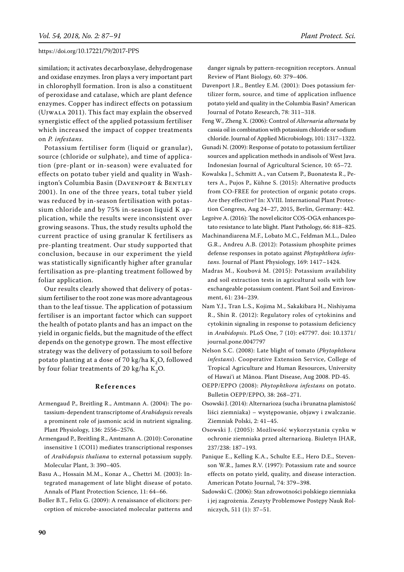similation; it activates decarboxylase, dehydrogenase and oxidase enzymes. Iron plays a very important part in chlorophyll formation. Iron is also a constituent of peroxidase and catalase, which are plant defence enzymes. Copper has indirect effects on potassium (Ujwala 2011). This fact may explain the observed synergistic effect of the applied potassium fertiliser which increased the impact of copper treatments on *P. infestans*.

Potassium fertiliser form (liquid or granular), source (chloride or sulphate), and time of application (pre-plant or in-season) were evaluated for effects on potato tuber yield and quality in Washington's Columbia Basin (Davenport & Bentley 2001). In one of the three years, total tuber yield was reduced by in-season fertilisation with potassium chloride and by 75% in-season liquid K application, while the results were inconsistent over growing seasons. Thus, the study results uphold the current practice of using granular K fertilisers as pre-planting treatment. Our study supported that conclusion, because in our experiment the yield was statistically significantly higher after granular fertilisation as pre-planting treatment followed by foliar application.

Our results clearly showed that delivery of potassium fertiliser to the root zone was more advantageous than to the leaf tissue. The application of potassium fertiliser is an important factor which can support the health of potato plants and has an impact on the yield in organic fields, but the magnitude of the effect depends on the genotype grown. The most effective strategy was the delivery of potassium to soil before potato planting at a dose of 70 kg/ha  $K_2O$ , followed by four foliar treatments of 20 kg/ha  $K_2O$ .

#### **R e f e r e n c e s**

- Armengaud P., Breitling R., Amtmann A. (2004): The potassium-dependent transcriptome of *Arabidopsis* reveals a prominent role of jasmonic acid in nutrient signaling. Plant Physiology, 136: 2556–2576.
- Armengaud P., Breitling R., Amtmann A. (2010): Coronatine insensitive 1 (COI1) mediates transcriptional responses of *Arabidopsis thaliana* to external potassium supply. Molecular Plant, 3: 390–405.
- Basu A., Hossain M.M., Konar A., Chettri M. (2003): Integrated management of late blight disease of potato. Annals of Plant Protection Science, 11: 64–66.
- Boller B.T., Felix G. (2009): A renaissance of elicitors: perception of microbe-associated molecular patterns and

danger signals by pattern-recognition receptors. Annual Review of Plant Biology, 60: 379–406.

- Davenport J.R., Bentley E.M. (2001): Does potassium fertilizer form, source, and time of application influence potato yield and quality in the Columbia Basin? American Journal of Potato Research, 78: 311–318.
- Feng W., Zheng X. (2006): Control of *Alternaria alternata* by cassia oil in combination with potassium chloride or sodium chloride. Journal of Applied Microbiology, 101: 1317–1322.
- Gunadi N. (2009): Response of potato to potassium fertilizer sources and application methods in andisols of West Java. Indonesian Journal of Agricultural Science, 10: 65–72.
- Kowalska J., Schmitt A., van Cutsem P., Buonatesta R., Peters A., Pujos P., Kühne S. (2015): Alternative products from CO-FREE for protection of organic potato crops. Are they effective? In: XVIII. International Plant Protection Congress, Aug 24–27, 2015, Berlin, Germany: 442.
- Legrève A. (2016): The novel elicitor COS-OGA enhances potato resistance to late blight. Plant Pathology, 66: 818–825.
- Machinandiarena M.F., Lobato M.C., Feldman M.L., Daleo G.R., Andreu A.B. (2012): Potassium phosphite primes defense responses in potato against *Phytophthora infestans*. Journal of Plant Physiology, 169: 1417–1424.
- Madras M., Koubová M. (2015): Potassium availability and soil extraction tests in agricultural soils with low exchangeable potassium content. Plant Soil and Environment, 61: 234–239.
- Nam Y.J., Tran L.S., Kojima M., Sakakibara H., Nishiyama R., Shin R. (2012): Regulatory roles of cytokinins and cytokinin signaling in response to potassium deficiency in *Arabidopsis*. PLoS One, 7 (10): e47797. doi: 10.1371/ journal.pone.0047797
- Nelson S.C. (2008): Late blight of tomato (*Phytophthora infestans*). Cooperative Extension Service, College of Tropical Agriculture and Human Resources, University of Hawai'i at Mãnoa. Plant Disease, Aug 2008. PD-45.
- OEPP/EPPO (2008): *Phytophthora infestans* on potato. Bulletin OEPP/EPPO, 38: 268–271.
- Osowski J. (2014): Alternarioza (sucha i brunatna plamistość liści ziemniaka) – występowanie, objawy i zwalczanie. Ziemniak Polski, 2: 41–45.
- Osowski J. (2005): Możliwość wykorzystania cynku w ochronie ziemniaka przed alternariozą. Biuletyn IHAR, 237/238: 187–193.
- Panique E., Kelling K.A., Schulte E.E., Hero D.E., Stevenson W.R., James R.V. (1997): Potassium rate and source effects on potato yield, quality, and disease interaction. American Potato Journal, 74: 379–398.
- Sadowski C. (2006): Stan zdrowotności polskiego ziemniaka i jej zagrożenia. Zeszyty Problemowe Postępy Nauk Rolniczych, 511 (1): 37–51.